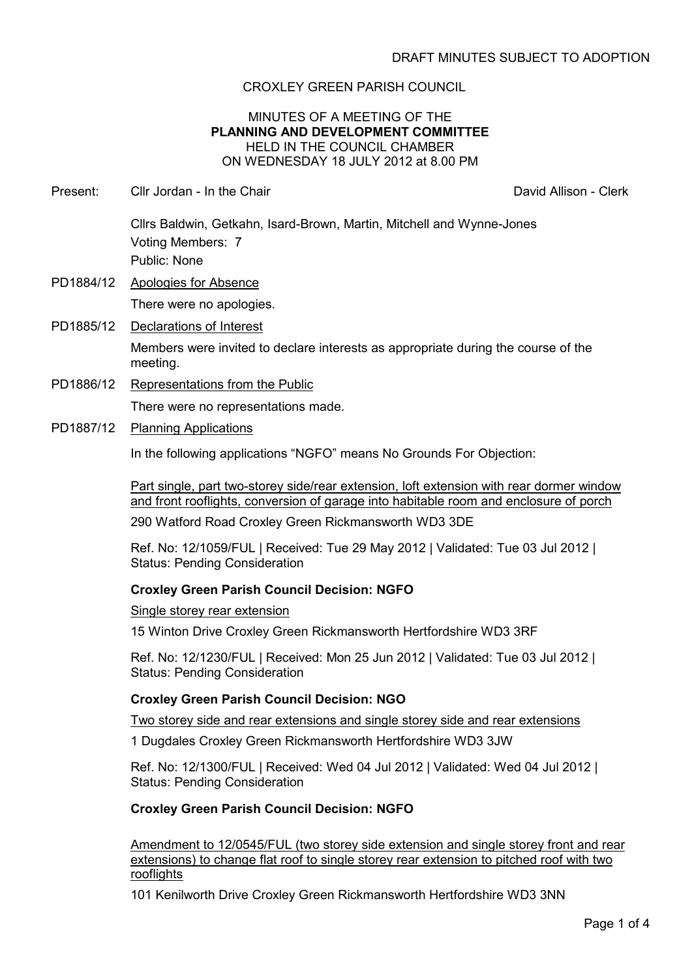# CROXLEY GREEN PARISH COUNCIL

## MINUTES OF A MEETING OF THE **PLANNING AND DEVELOPMENT COMMITTEE** HELD IN THE COUNCIL CHAMBER ON WEDNESDAY 18 JULY 2012 at 8.00 PM

Present: Cllr Jordan - In the Chair Chair Chair David Allison - Clerk

Cllrs Baldwin, Getkahn, Isard-Brown, Martin, Mitchell and Wynne-Jones Voting Members: 7 Public: None

PD1884/12 Apologies for Absence

There were no apologies.

PD1885/12 Declarations of Interest

Members were invited to declare interests as appropriate during the course of the meeting.

- PD1886/12 Representations from the Public There were no representations made.
- PD1887/12 Planning Applications

In the following applications "NGFO" means No Grounds For Objection:

Part single, part two-storey side/rear extension, loft extension with rear dormer window and front rooflights, conversion of garage into habitable room and enclosure of porch 290 Watford Road Croxley Green Rickmansworth WD3 3DE

Ref. No: 12/1059/FUL | Received: Tue 29 May 2012 | Validated: Tue 03 Jul 2012 | Status: Pending Consideration

## **Croxley Green Parish Council Decision: NGFO**

#### Single storey rear extension

15 Winton Drive Croxley Green Rickmansworth Hertfordshire WD3 3RF

Ref. No: 12/1230/FUL | Received: Mon 25 Jun 2012 | Validated: Tue 03 Jul 2012 | Status: Pending Consideration

## **Croxley Green Parish Council Decision: NGO**

Two storey side and rear extensions and single storey side and rear extensions

1 Dugdales Croxley Green Rickmansworth Hertfordshire WD3 3JW

Ref. No: 12/1300/FUL | Received: Wed 04 Jul 2012 | Validated: Wed 04 Jul 2012 | Status: Pending Consideration

## **Croxley Green Parish Council Decision: NGFO**

Amendment to 12/0545/FUL (two storey side extension and single storey front and rear extensions) to change flat roof to single storey rear extension to pitched roof with two rooflights

101 Kenilworth Drive Croxley Green Rickmansworth Hertfordshire WD3 3NN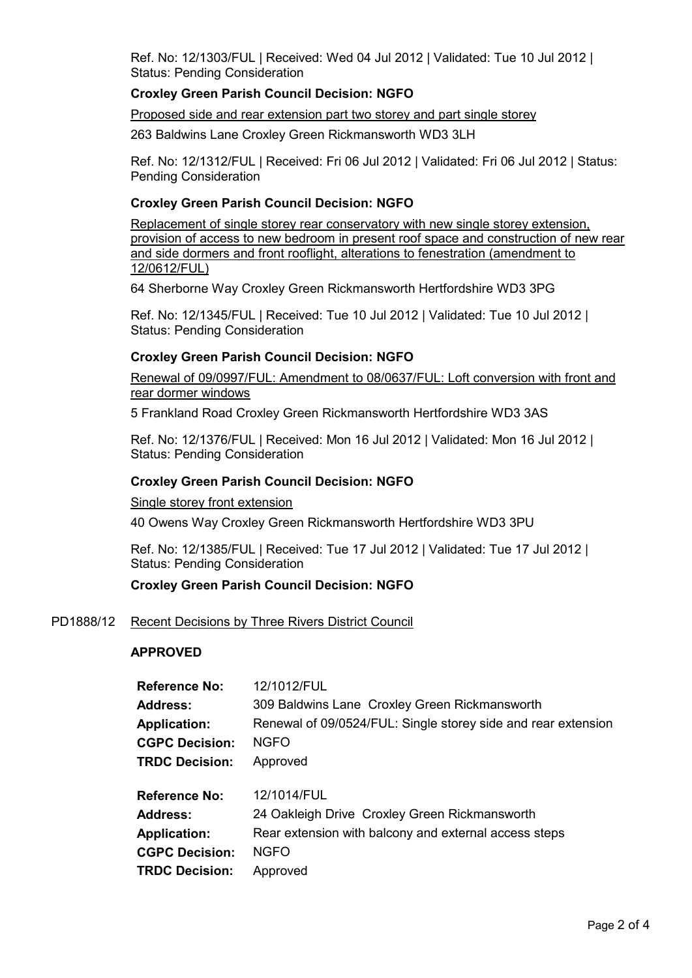Ref. No: 12/1303/FUL | Received: Wed 04 Jul 2012 | Validated: Tue 10 Jul 2012 | Status: Pending Consideration

# **Croxley Green Parish Council Decision: NGFO**

### Proposed side and rear extension part two storey and part single storey

263 Baldwins Lane Croxley Green Rickmansworth WD3 3LH

Ref. No: 12/1312/FUL | Received: Fri 06 Jul 2012 | Validated: Fri 06 Jul 2012 | Status: Pending Consideration

## **Croxley Green Parish Council Decision: NGFO**

Replacement of single storey rear conservatory with new single storey extension, provision of access to new bedroom in present roof space and construction of new rear and side dormers and front rooflight, alterations to fenestration (amendment to 12/0612/FUL)

64 Sherborne Way Croxley Green Rickmansworth Hertfordshire WD3 3PG

Ref. No: 12/1345/FUL | Received: Tue 10 Jul 2012 | Validated: Tue 10 Jul 2012 | Status: Pending Consideration

## **Croxley Green Parish Council Decision: NGFO**

Renewal of 09/0997/FUL: Amendment to 08/0637/FUL: Loft conversion with front and rear dormer windows

5 Frankland Road Croxley Green Rickmansworth Hertfordshire WD3 3AS

Ref. No: 12/1376/FUL | Received: Mon 16 Jul 2012 | Validated: Mon 16 Jul 2012 | Status: Pending Consideration

### **Croxley Green Parish Council Decision: NGFO**

Single storey front extension

40 Owens Way Croxley Green Rickmansworth Hertfordshire WD3 3PU

Ref. No: 12/1385/FUL | Received: Tue 17 Jul 2012 | Validated: Tue 17 Jul 2012 | Status: Pending Consideration

## **Croxley Green Parish Council Decision: NGFO**

#### PD1888/12 Recent Decisions by Three Rivers District Council

#### **APPROVED**

| Renewal of 09/0524/FUL: Single storey side and rear extension |
|---------------------------------------------------------------|
|                                                               |
|                                                               |
|                                                               |
|                                                               |
|                                                               |
|                                                               |
|                                                               |
|                                                               |
|                                                               |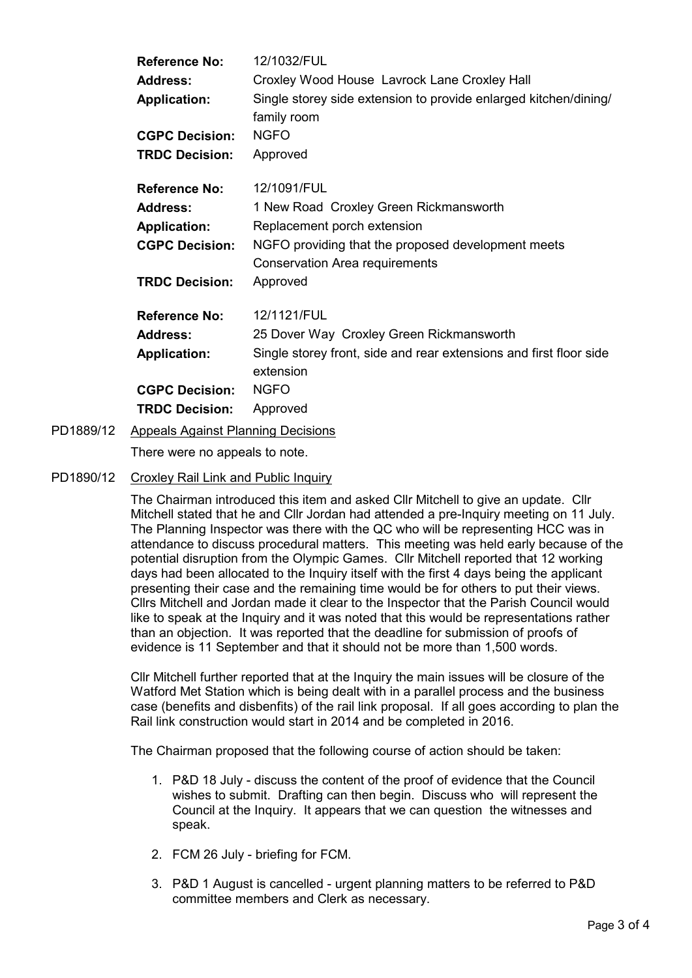| <b>Reference No:</b>  | 12/1032/FUL                                                                     |  |
|-----------------------|---------------------------------------------------------------------------------|--|
| <b>Address:</b>       | Croxley Wood House Lavrock Lane Croxley Hall                                    |  |
| <b>Application:</b>   | Single storey side extension to provide enlarged kitchen/dining/<br>family room |  |
| <b>CGPC Decision:</b> | <b>NGFO</b>                                                                     |  |
| <b>TRDC Decision:</b> | Approved                                                                        |  |
| <b>Reference No:</b>  | 12/1091/FUL                                                                     |  |
| <b>Address:</b>       | 1 New Road Croxley Green Rickmansworth                                          |  |
| <b>Application:</b>   | Replacement porch extension                                                     |  |
| <b>CGPC Decision:</b> | NGFO providing that the proposed development meets                              |  |
|                       | <b>Conservation Area requirements</b>                                           |  |
| <b>TRDC Decision:</b> | Approved                                                                        |  |
| <b>Reference No:</b>  | 12/1121/FUL                                                                     |  |
| <b>Address:</b>       | 25 Dover Way Croxley Green Rickmansworth                                        |  |
| <b>Application:</b>   | Single storey front, side and rear extensions and first floor side              |  |
|                       | extension                                                                       |  |
| <b>CGPC Decision:</b> | <b>NGFO</b>                                                                     |  |
| <b>TRDC Decision:</b> | Approved                                                                        |  |
|                       |                                                                                 |  |

PD1889/12 Appeals Against Planning Decisions

There were no appeals to note.

PD1890/12 Croxley Rail Link and Public Inquiry

The Chairman introduced this item and asked Cllr Mitchell to give an update. Cllr Mitchell stated that he and Cllr Jordan had attended a pre-Inquiry meeting on 11 July. The Planning Inspector was there with the QC who will be representing HCC was in attendance to discuss procedural matters. This meeting was held early because of the potential disruption from the Olympic Games. Cllr Mitchell reported that 12 working days had been allocated to the Inquiry itself with the first 4 days being the applicant presenting their case and the remaining time would be for others to put their views. Cllrs Mitchell and Jordan made it clear to the Inspector that the Parish Council would like to speak at the Inquiry and it was noted that this would be representations rather than an objection. It was reported that the deadline for submission of proofs of evidence is 11 September and that it should not be more than 1,500 words.

Cllr Mitchell further reported that at the Inquiry the main issues will be closure of the Watford Met Station which is being dealt with in a parallel process and the business case (benefits and disbenfits) of the rail link proposal. If all goes according to plan the Rail link construction would start in 2014 and be completed in 2016.

The Chairman proposed that the following course of action should be taken:

- 1. P&D 18 July discuss the content of the proof of evidence that the Council wishes to submit. Drafting can then begin. Discuss who will represent the Council at the Inquiry. It appears that we can question the witnesses and speak.
- 2. FCM 26 July briefing for FCM.
- 3. P&D 1 August is cancelled urgent planning matters to be referred to P&D committee members and Clerk as necessary.